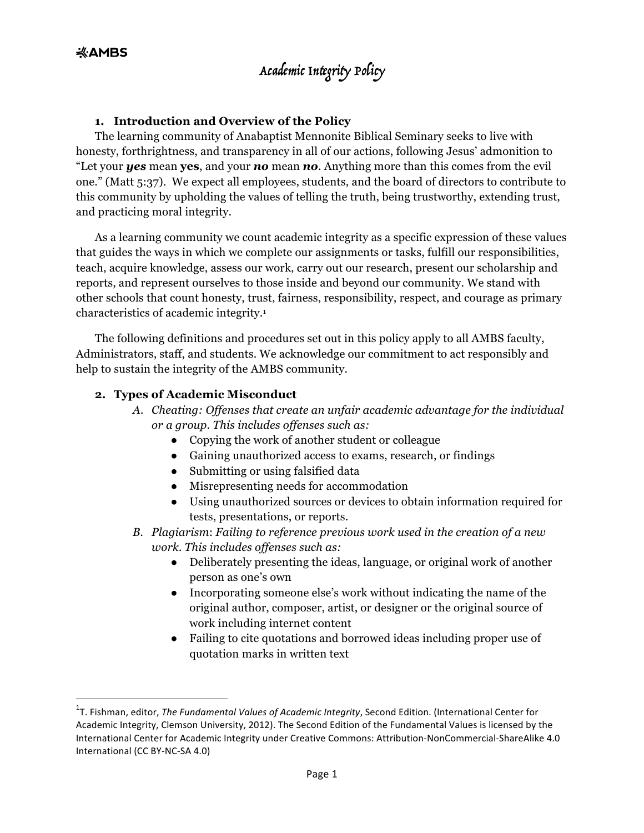#### **1. Introduction and Overview of the Policy**

The learning community of Anabaptist Mennonite Biblical Seminary seeks to live with honesty, forthrightness, and transparency in all of our actions, following Jesus' admonition to "Let your *yes* mean **yes**, and your *no* mean *no*. Anything more than this comes from the evil one." (Matt 5:37). We expect all employees, students, and the board of directors to contribute to this community by upholding the values of telling the truth, being trustworthy, extending trust, and practicing moral integrity.

As a learning community we count academic integrity as a specific expression of these values that guides the ways in which we complete our assignments or tasks, fulfill our responsibilities, teach, acquire knowledge, assess our work, carry out our research, present our scholarship and reports, and represent ourselves to those inside and beyond our community. We stand with other schools that count honesty, trust, fairness, responsibility, respect, and courage as primary characteristics of academic integrity.1

The following definitions and procedures set out in this policy apply to all AMBS faculty, Administrators, staff, and students. We acknowledge our commitment to act responsibly and help to sustain the integrity of the AMBS community.

#### **2. Types of Academic Misconduct**

<u> Andrew Maria (1989)</u>

- *A. Cheating: Offenses that create an unfair academic advantage for the individual or a group. This includes offenses such as:*
	- Copying the work of another student or colleague
	- Gaining unauthorized access to exams, research, or findings
	- Submitting or using falsified data
	- Misrepresenting needs for accommodation
	- Using unauthorized sources or devices to obtain information required for tests, presentations, or reports.
- *B. Plagiarism*: *Failing to reference previous work used in the creation of a new work. This includes offenses such as:*
	- Deliberately presenting the ideas, language, or original work of another person as one's own
	- Incorporating someone else's work without indicating the name of the original author, composer, artist, or designer or the original source of work including internet content
	- Failing to cite quotations and borrowed ideas including proper use of quotation marks in written text

<sup>&</sup>lt;sup>1</sup>T. Fishman, editor, *The Fundamental Values of Academic Integrity*, Second Edition. (International Center for Academic Integrity, Clemson University, 2012). The Second Edition of the Fundamental Values is licensed by the International Center for Academic Integrity under Creative Commons: Attribution-NonCommercial-ShareAlike 4.0 International (CC BY-NC-SA 4.0)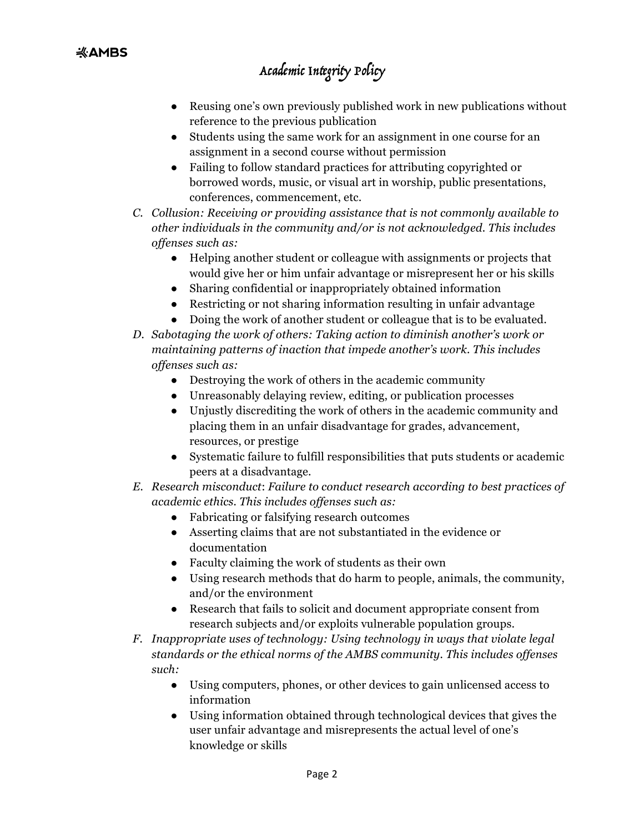- Reusing one's own previously published work in new publications without reference to the previous publication
- Students using the same work for an assignment in one course for an assignment in a second course without permission
- Failing to follow standard practices for attributing copyrighted or borrowed words, music, or visual art in worship, public presentations, conferences, commencement, etc.
- *C. Collusion: Receiving or providing assistance that is not commonly available to other individuals in the community and/or is not acknowledged. This includes offenses such as:* 
	- Helping another student or colleague with assignments or projects that would give her or him unfair advantage or misrepresent her or his skills
	- Sharing confidential or inappropriately obtained information
	- Restricting or not sharing information resulting in unfair advantage
	- Doing the work of another student or colleague that is to be evaluated.
- *D. Sabotaging the work of others: Taking action to diminish another's work or maintaining patterns of inaction that impede another's work. This includes offenses such as:*
	- Destroying the work of others in the academic community
	- Unreasonably delaying review, editing, or publication processes
	- Unjustly discrediting the work of others in the academic community and placing them in an unfair disadvantage for grades, advancement, resources, or prestige
	- Systematic failure to fulfill responsibilities that puts students or academic peers at a disadvantage.
- *E. Research misconduct*: *Failure to conduct research according to best practices of academic ethics. This includes offenses such as:*
	- Fabricating or falsifying research outcomes
	- Asserting claims that are not substantiated in the evidence or documentation
	- Faculty claiming the work of students as their own
	- Using research methods that do harm to people, animals, the community, and/or the environment
	- Research that fails to solicit and document appropriate consent from research subjects and/or exploits vulnerable population groups.
- *F. Inappropriate uses of technology: Using technology in ways that violate legal standards or the ethical norms of the AMBS community. This includes offenses such:* 
	- Using computers, phones, or other devices to gain unlicensed access to information
	- Using information obtained through technological devices that gives the user unfair advantage and misrepresents the actual level of one's knowledge or skills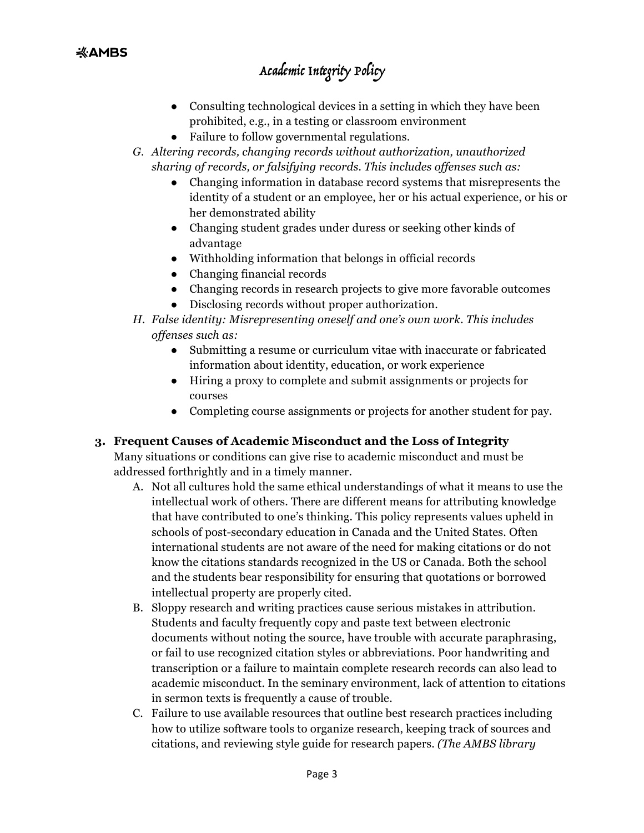- Consulting technological devices in a setting in which they have been prohibited, e.g., in a testing or classroom environment
- Failure to follow governmental regulations.
- *G. Altering records, changing records without authorization, unauthorized sharing of records, or falsifying records. This includes offenses such as:* 
	- Changing information in database record systems that misrepresents the identity of a student or an employee, her or his actual experience, or his or her demonstrated ability
	- Changing student grades under duress or seeking other kinds of advantage
	- Withholding information that belongs in official records
	- Changing financial records
	- Changing records in research projects to give more favorable outcomes
	- Disclosing records without proper authorization.
- *H. False identity: Misrepresenting oneself and one's own work. This includes offenses such as:*
	- Submitting a resume or curriculum vitae with inaccurate or fabricated information about identity, education, or work experience
	- Hiring a proxy to complete and submit assignments or projects for courses
	- Completing course assignments or projects for another student for pay.

### **3. Frequent Causes of Academic Misconduct and the Loss of Integrity**

Many situations or conditions can give rise to academic misconduct and must be addressed forthrightly and in a timely manner.

- A. Not all cultures hold the same ethical understandings of what it means to use the intellectual work of others. There are different means for attributing knowledge that have contributed to one's thinking. This policy represents values upheld in schools of post-secondary education in Canada and the United States. Often international students are not aware of the need for making citations or do not know the citations standards recognized in the US or Canada. Both the school and the students bear responsibility for ensuring that quotations or borrowed intellectual property are properly cited.
- B. Sloppy research and writing practices cause serious mistakes in attribution. Students and faculty frequently copy and paste text between electronic documents without noting the source, have trouble with accurate paraphrasing, or fail to use recognized citation styles or abbreviations. Poor handwriting and transcription or a failure to maintain complete research records can also lead to academic misconduct. In the seminary environment, lack of attention to citations in sermon texts is frequently a cause of trouble.
- C. Failure to use available resources that outline best research practices including how to utilize software tools to organize research, keeping track of sources and citations, and reviewing style guide for research papers. *(The AMBS library*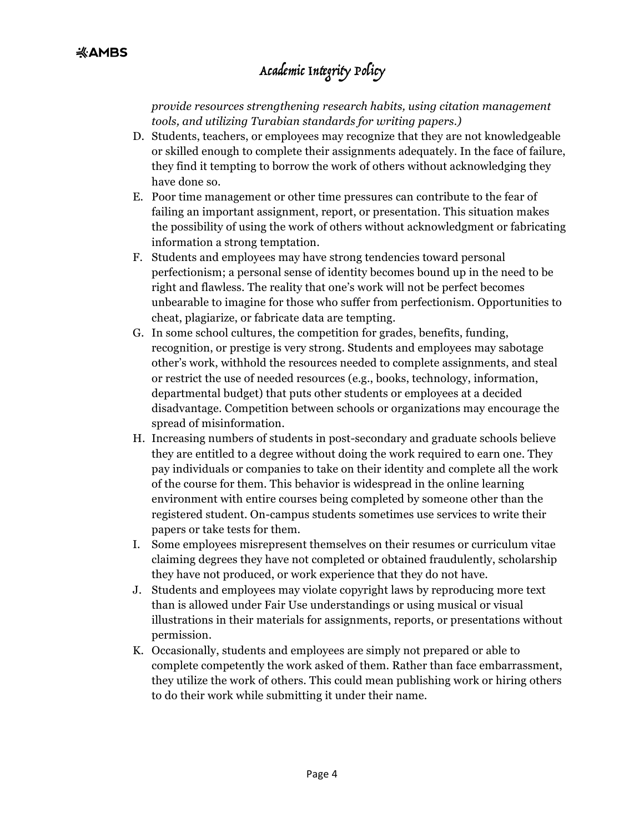*provide resources strengthening research habits, using citation management tools, and utilizing Turabian standards for writing papers.)* 

- D. Students, teachers, or employees may recognize that they are not knowledgeable or skilled enough to complete their assignments adequately. In the face of failure, they find it tempting to borrow the work of others without acknowledging they have done so.
- E. Poor time management or other time pressures can contribute to the fear of failing an important assignment, report, or presentation. This situation makes the possibility of using the work of others without acknowledgment or fabricating information a strong temptation.
- F. Students and employees may have strong tendencies toward personal perfectionism; a personal sense of identity becomes bound up in the need to be right and flawless. The reality that one's work will not be perfect becomes unbearable to imagine for those who suffer from perfectionism. Opportunities to cheat, plagiarize, or fabricate data are tempting.
- G. In some school cultures, the competition for grades, benefits, funding, recognition, or prestige is very strong. Students and employees may sabotage other's work, withhold the resources needed to complete assignments, and steal or restrict the use of needed resources (e.g., books, technology, information, departmental budget) that puts other students or employees at a decided disadvantage. Competition between schools or organizations may encourage the spread of misinformation.
- H. Increasing numbers of students in post-secondary and graduate schools believe they are entitled to a degree without doing the work required to earn one. They pay individuals or companies to take on their identity and complete all the work of the course for them. This behavior is widespread in the online learning environment with entire courses being completed by someone other than the registered student. On-campus students sometimes use services to write their papers or take tests for them.
- I. Some employees misrepresent themselves on their resumes or curriculum vitae claiming degrees they have not completed or obtained fraudulently, scholarship they have not produced, or work experience that they do not have.
- J. Students and employees may violate copyright laws by reproducing more text than is allowed under Fair Use understandings or using musical or visual illustrations in their materials for assignments, reports, or presentations without permission.
- K. Occasionally, students and employees are simply not prepared or able to complete competently the work asked of them. Rather than face embarrassment, they utilize the work of others. This could mean publishing work or hiring others to do their work while submitting it under their name.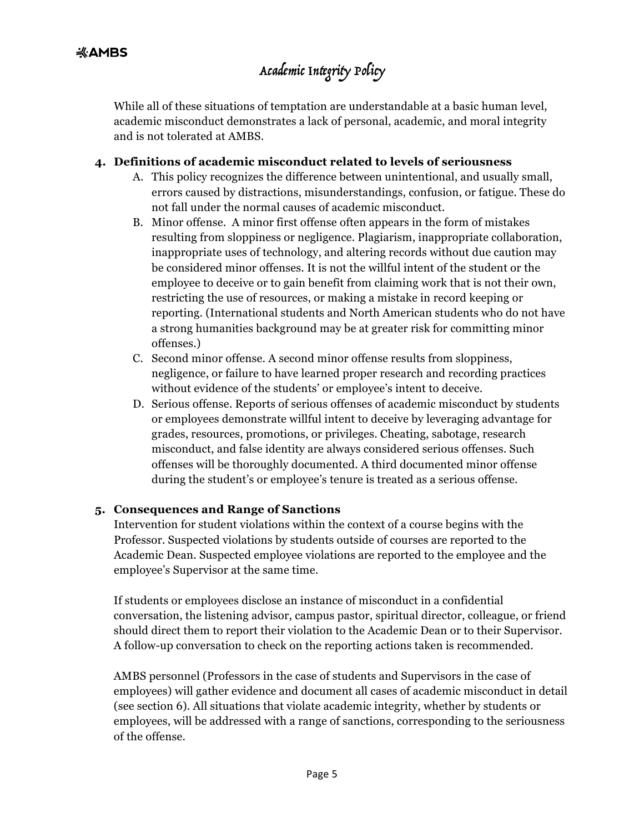While all of these situations of temptation are understandable at a basic human level, academic misconduct demonstrates a lack of personal, academic, and moral integrity and is not tolerated at AMBS.

#### **4. Definitions of academic misconduct related to levels of seriousness**

- A. This policy recognizes the difference between unintentional, and usually small, errors caused by distractions, misunderstandings, confusion, or fatigue. These do not fall under the normal causes of academic misconduct.
- B. Minor offense. A minor first offense often appears in the form of mistakes resulting from sloppiness or negligence. Plagiarism, inappropriate collaboration, inappropriate uses of technology, and altering records without due caution may be considered minor offenses. It is not the willful intent of the student or the employee to deceive or to gain benefit from claiming work that is not their own, restricting the use of resources, or making a mistake in record keeping or reporting. (International students and North American students who do not have a strong humanities background may be at greater risk for committing minor offenses.)
- C. Second minor offense. A second minor offense results from sloppiness, negligence, or failure to have learned proper research and recording practices without evidence of the students' or employee's intent to deceive.
- D. Serious offense. Reports of serious offenses of academic misconduct by students or employees demonstrate willful intent to deceive by leveraging advantage for grades, resources, promotions, or privileges. Cheating, sabotage, research misconduct, and false identity are always considered serious offenses. Such offenses will be thoroughly documented. A third documented minor offense during the student's or employee's tenure is treated as a serious offense.

#### **5. Consequences and Range of Sanctions**

Intervention for student violations within the context of a course begins with the Professor. Suspected violations by students outside of courses are reported to the Academic Dean. Suspected employee violations are reported to the employee and the employee's Supervisor at the same time.

If students or employees disclose an instance of misconduct in a confidential conversation, the listening advisor, campus pastor, spiritual director, colleague, or friend should direct them to report their violation to the Academic Dean or to their Supervisor. A follow-up conversation to check on the reporting actions taken is recommended.

AMBS personnel (Professors in the case of students and Supervisors in the case of employees) will gather evidence and document all cases of academic misconduct in detail (see section 6). All situations that violate academic integrity, whether by students or employees, will be addressed with a range of sanctions, corresponding to the seriousness of the offense.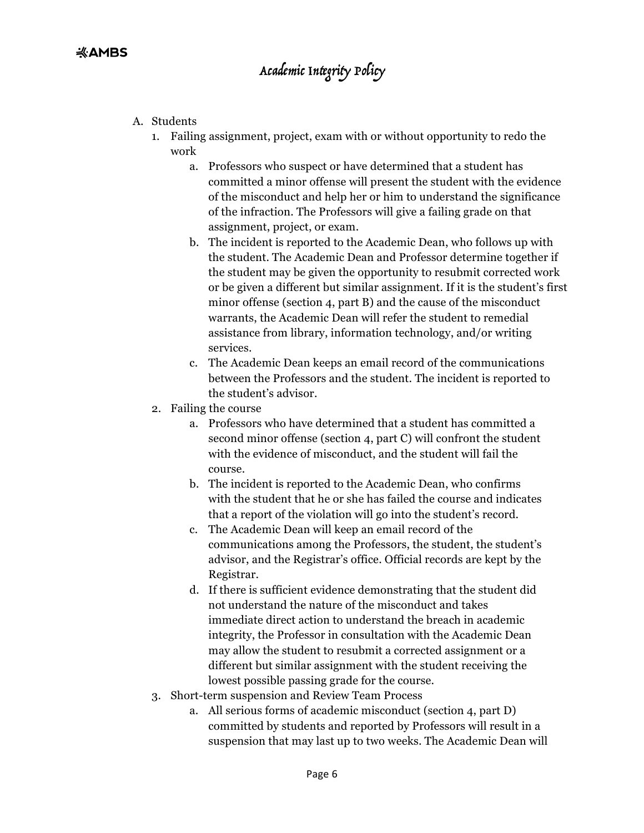- A. Students
	- 1. Failing assignment, project, exam with or without opportunity to redo the work
		- a. Professors who suspect or have determined that a student has committed a minor offense will present the student with the evidence of the misconduct and help her or him to understand the significance of the infraction. The Professors will give a failing grade on that assignment, project, or exam.
		- b. The incident is reported to the Academic Dean, who follows up with the student. The Academic Dean and Professor determine together if the student may be given the opportunity to resubmit corrected work or be given a different but similar assignment. If it is the student's first minor offense (section 4, part B) and the cause of the misconduct warrants, the Academic Dean will refer the student to remedial assistance from library, information technology, and/or writing services.
		- c. The Academic Dean keeps an email record of the communications between the Professors and the student. The incident is reported to the student's advisor.
	- 2. Failing the course
		- a. Professors who have determined that a student has committed a second minor offense (section 4, part C) will confront the student with the evidence of misconduct, and the student will fail the course.
		- b. The incident is reported to the Academic Dean, who confirms with the student that he or she has failed the course and indicates that a report of the violation will go into the student's record.
		- c. The Academic Dean will keep an email record of the communications among the Professors, the student, the student's advisor, and the Registrar's office. Official records are kept by the Registrar.
		- d. If there is sufficient evidence demonstrating that the student did not understand the nature of the misconduct and takes immediate direct action to understand the breach in academic integrity, the Professor in consultation with the Academic Dean may allow the student to resubmit a corrected assignment or a different but similar assignment with the student receiving the lowest possible passing grade for the course.
	- 3. Short-term suspension and Review Team Process
		- a. All serious forms of academic misconduct (section 4, part D) committed by students and reported by Professors will result in a suspension that may last up to two weeks. The Academic Dean will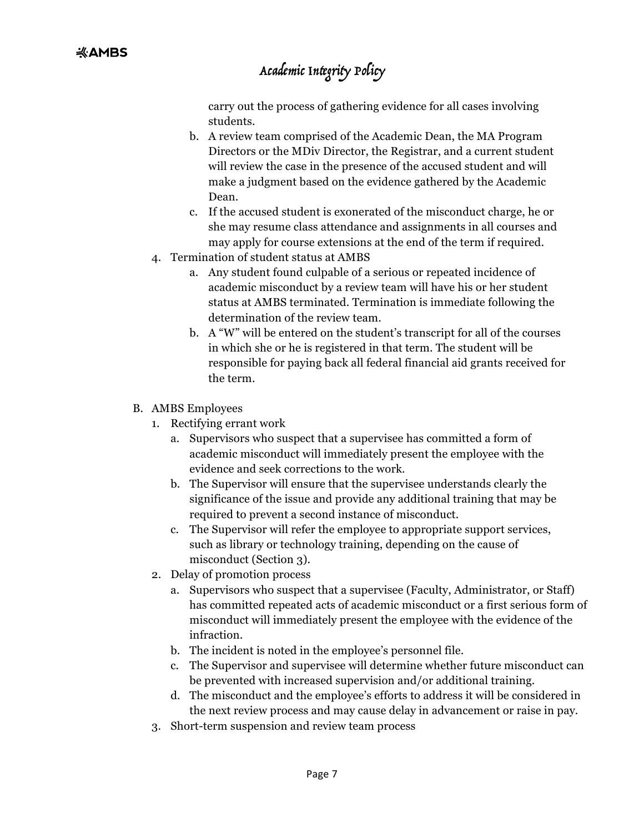carry out the process of gathering evidence for all cases involving students.

- b. A review team comprised of the Academic Dean, the MA Program Directors or the MDiv Director, the Registrar, and a current student will review the case in the presence of the accused student and will make a judgment based on the evidence gathered by the Academic Dean.
- c. If the accused student is exonerated of the misconduct charge, he or she may resume class attendance and assignments in all courses and may apply for course extensions at the end of the term if required.
- 4. Termination of student status at AMBS
	- a. Any student found culpable of a serious or repeated incidence of academic misconduct by a review team will have his or her student status at AMBS terminated. Termination is immediate following the determination of the review team.
	- b. A "W" will be entered on the student's transcript for all of the courses in which she or he is registered in that term. The student will be responsible for paying back all federal financial aid grants received for the term.
- B. AMBS Employees
	- 1. Rectifying errant work
		- a. Supervisors who suspect that a supervisee has committed a form of academic misconduct will immediately present the employee with the evidence and seek corrections to the work.
		- b. The Supervisor will ensure that the supervisee understands clearly the significance of the issue and provide any additional training that may be required to prevent a second instance of misconduct.
		- c. The Supervisor will refer the employee to appropriate support services, such as library or technology training, depending on the cause of misconduct (Section 3).
	- 2. Delay of promotion process
		- a. Supervisors who suspect that a supervisee (Faculty, Administrator, or Staff) has committed repeated acts of academic misconduct or a first serious form of misconduct will immediately present the employee with the evidence of the infraction.
		- b. The incident is noted in the employee's personnel file.
		- c. The Supervisor and supervisee will determine whether future misconduct can be prevented with increased supervision and/or additional training.
		- d. The misconduct and the employee's efforts to address it will be considered in the next review process and may cause delay in advancement or raise in pay.
	- 3. Short-term suspension and review team process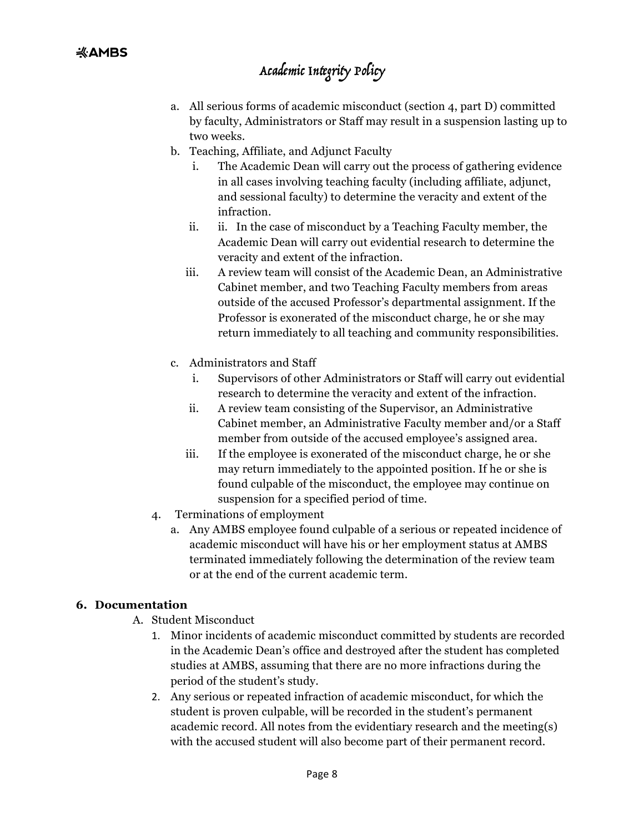- a. All serious forms of academic misconduct (section 4, part D) committed by faculty, Administrators or Staff may result in a suspension lasting up to two weeks.
- b. Teaching, Affiliate, and Adjunct Faculty
	- The Academic Dean will carry out the process of gathering evidence in all cases involving teaching faculty (including affiliate, adjunct, and sessional faculty) to determine the veracity and extent of the infraction.
	- ii. ii. In the case of misconduct by a Teaching Faculty member, the Academic Dean will carry out evidential research to determine the veracity and extent of the infraction.
	- iii. A review team will consist of the Academic Dean, an Administrative Cabinet member, and two Teaching Faculty members from areas outside of the accused Professor's departmental assignment. If the Professor is exonerated of the misconduct charge, he or she may return immediately to all teaching and community responsibilities.
- c. Administrators and Staff
	- i. Supervisors of other Administrators or Staff will carry out evidential research to determine the veracity and extent of the infraction.
	- ii. A review team consisting of the Supervisor, an Administrative Cabinet member, an Administrative Faculty member and/or a Staff member from outside of the accused employee's assigned area.
	- iii. If the employee is exonerated of the misconduct charge, he or she may return immediately to the appointed position. If he or she is found culpable of the misconduct, the employee may continue on suspension for a specified period of time.
- 4. Terminations of employment
	- a. Any AMBS employee found culpable of a serious or repeated incidence of academic misconduct will have his or her employment status at AMBS terminated immediately following the determination of the review team or at the end of the current academic term.

### **6. Documentation**

- A. Student Misconduct
	- 1. Minor incidents of academic misconduct committed by students are recorded in the Academic Dean's office and destroyed after the student has completed studies at AMBS, assuming that there are no more infractions during the period of the student's study.
	- 2. Any serious or repeated infraction of academic misconduct, for which the student is proven culpable, will be recorded in the student's permanent academic record. All notes from the evidentiary research and the meeting(s) with the accused student will also become part of their permanent record.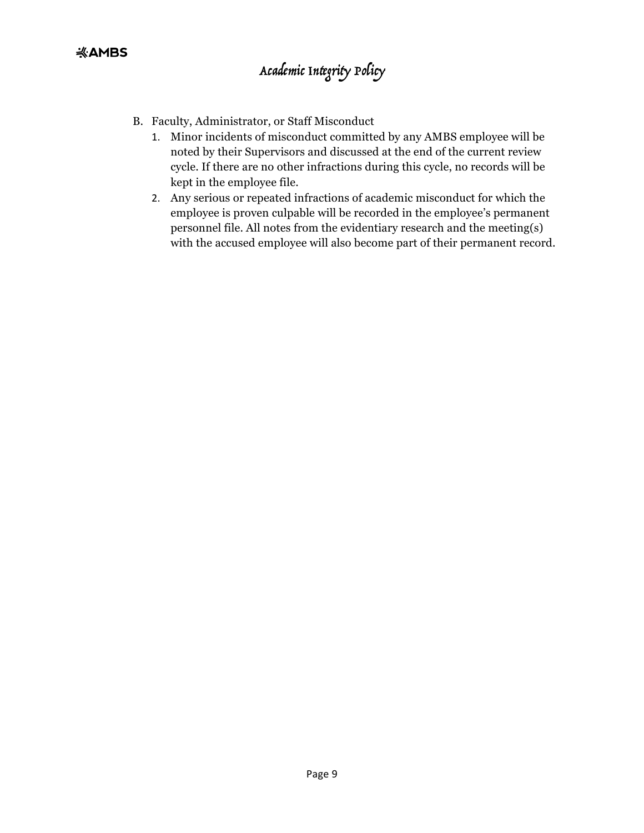- B. Faculty, Administrator, or Staff Misconduct
	- 1. Minor incidents of misconduct committed by any AMBS employee will be noted by their Supervisors and discussed at the end of the current review cycle. If there are no other infractions during this cycle, no records will be kept in the employee file.
	- 2. Any serious or repeated infractions of academic misconduct for which the employee is proven culpable will be recorded in the employee's permanent personnel file. All notes from the evidentiary research and the meeting(s) with the accused employee will also become part of their permanent record.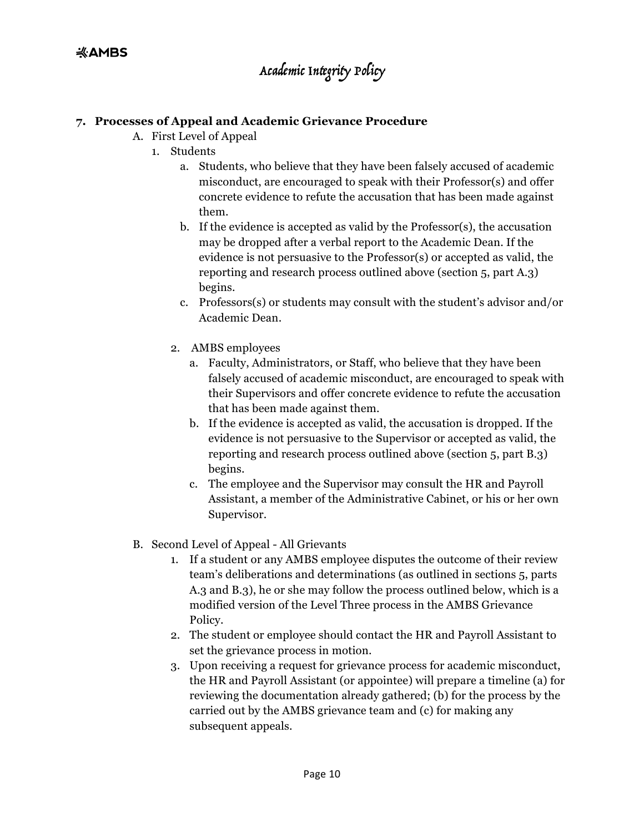#### **7. Processes of Appeal and Academic Grievance Procedure**

- A. First Level of Appeal
	- 1. Students
		- a. Students, who believe that they have been falsely accused of academic misconduct, are encouraged to speak with their Professor(s) and offer concrete evidence to refute the accusation that has been made against them.
		- b. If the evidence is accepted as valid by the Professor(s), the accusation may be dropped after a verbal report to the Academic Dean. If the evidence is not persuasive to the Professor(s) or accepted as valid, the reporting and research process outlined above (section 5, part A.3) begins.
		- c. Professors(s) or students may consult with the student's advisor and/or Academic Dean.
		- 2. AMBS employees
			- a. Faculty, Administrators, or Staff, who believe that they have been falsely accused of academic misconduct, are encouraged to speak with their Supervisors and offer concrete evidence to refute the accusation that has been made against them.
			- b. If the evidence is accepted as valid, the accusation is dropped. If the evidence is not persuasive to the Supervisor or accepted as valid, the reporting and research process outlined above (section 5, part B.3) begins.
			- c. The employee and the Supervisor may consult the HR and Payroll Assistant, a member of the Administrative Cabinet, or his or her own Supervisor.
- B. Second Level of Appeal All Grievants
	- 1. If a student or any AMBS employee disputes the outcome of their review team's deliberations and determinations (as outlined in sections 5, parts A.3 and B.3), he or she may follow the process outlined below, which is a modified version of the Level Three process in the AMBS Grievance Policy.
	- 2. The student or employee should contact the HR and Payroll Assistant to set the grievance process in motion.
	- 3. Upon receiving a request for grievance process for academic misconduct, the HR and Payroll Assistant (or appointee) will prepare a timeline (a) for reviewing the documentation already gathered; (b) for the process by the carried out by the AMBS grievance team and (c) for making any subsequent appeals.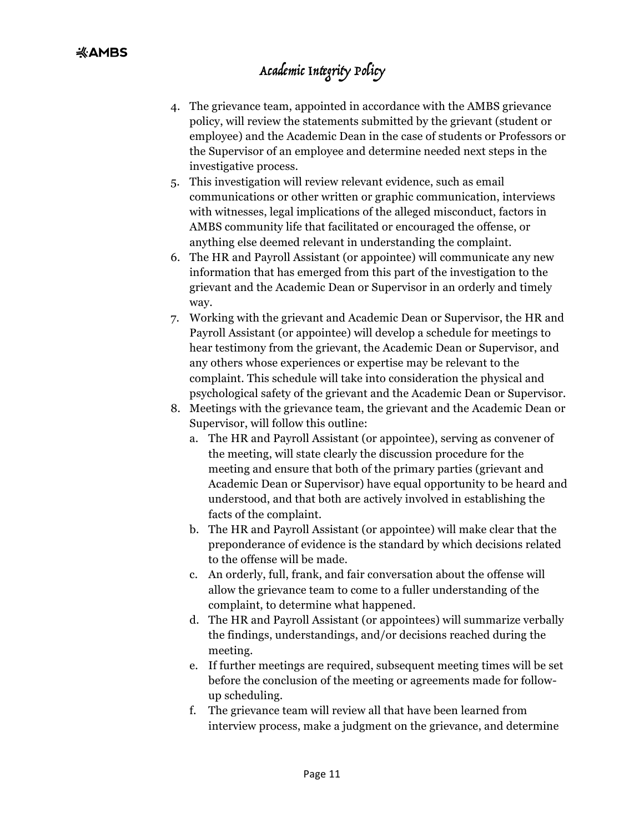- 4. The grievance team, appointed in accordance with the AMBS grievance policy, will review the statements submitted by the grievant (student or employee) and the Academic Dean in the case of students or Professors or the Supervisor of an employee and determine needed next steps in the investigative process.
- 5. This investigation will review relevant evidence, such as email communications or other written or graphic communication, interviews with witnesses, legal implications of the alleged misconduct, factors in AMBS community life that facilitated or encouraged the offense, or anything else deemed relevant in understanding the complaint.
- 6. The HR and Payroll Assistant (or appointee) will communicate any new information that has emerged from this part of the investigation to the grievant and the Academic Dean or Supervisor in an orderly and timely way.
- 7. Working with the grievant and Academic Dean or Supervisor, the HR and Payroll Assistant (or appointee) will develop a schedule for meetings to hear testimony from the grievant, the Academic Dean or Supervisor, and any others whose experiences or expertise may be relevant to the complaint. This schedule will take into consideration the physical and psychological safety of the grievant and the Academic Dean or Supervisor.
- 8. Meetings with the grievance team, the grievant and the Academic Dean or Supervisor, will follow this outline:
	- a. The HR and Payroll Assistant (or appointee), serving as convener of the meeting, will state clearly the discussion procedure for the meeting and ensure that both of the primary parties (grievant and Academic Dean or Supervisor) have equal opportunity to be heard and understood, and that both are actively involved in establishing the facts of the complaint.
	- b. The HR and Payroll Assistant (or appointee) will make clear that the preponderance of evidence is the standard by which decisions related to the offense will be made.
	- c. An orderly, full, frank, and fair conversation about the offense will allow the grievance team to come to a fuller understanding of the complaint, to determine what happened.
	- d. The HR and Payroll Assistant (or appointees) will summarize verbally the findings, understandings, and/or decisions reached during the meeting.
	- e. If further meetings are required, subsequent meeting times will be set before the conclusion of the meeting or agreements made for followup scheduling.
	- f. The grievance team will review all that have been learned from interview process, make a judgment on the grievance, and determine